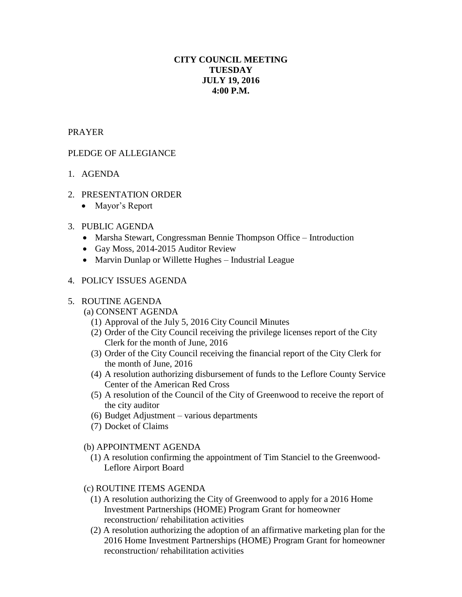# **CITY COUNCIL MEETING TUESDAY JULY 19, 2016 4:00 P.M.**

### PRAYER

## PLEDGE OF ALLEGIANCE

- 1. AGENDA
- 2. PRESENTATION ORDER
	- Mayor's Report

#### 3. PUBLIC AGENDA

- Marsha Stewart, Congressman Bennie Thompson Office Introduction
- Gay Moss, 2014-2015 Auditor Review
- Marvin Dunlap or Willette Hughes Industrial League

### 4. POLICY ISSUES AGENDA

#### 5. ROUTINE AGENDA

## (a) CONSENT AGENDA

- (1) Approval of the July 5, 2016 City Council Minutes
- (2) Order of the City Council receiving the privilege licenses report of the City Clerk for the month of June, 2016
- (3) Order of the City Council receiving the financial report of the City Clerk for the month of June, 2016
- (4) A resolution authorizing disbursement of funds to the Leflore County Service Center of the American Red Cross
- (5) A resolution of the Council of the City of Greenwood to receive the report of the city auditor
- (6) Budget Adjustment various departments
- (7) Docket of Claims

#### (b) APPOINTMENT AGENDA

 (1) A resolution confirming the appointment of Tim Stanciel to the Greenwood- Leflore Airport Board

#### (c) ROUTINE ITEMS AGENDA

- (1) A resolution authorizing the City of Greenwood to apply for a 2016 Home Investment Partnerships (HOME) Program Grant for homeowner reconstruction/ rehabilitation activities
- (2) A resolution authorizing the adoption of an affirmative marketing plan for the 2016 Home Investment Partnerships (HOME) Program Grant for homeowner reconstruction/ rehabilitation activities